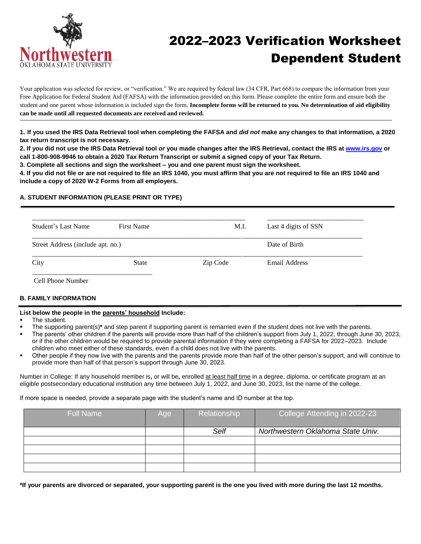

# 2022–2023 Verification Worksheet Dependent Student

Your application was selected for review, or "verification." We are required by federal law (34 CFR, Part 668) to compare the information from your Free Application for Federal Student Aid (FAFSA) with the information provided on this form. Please complete the entire form and ensure both the student and one parent whose information is included sign the form. **Incomplete forms will be returned to you. No determination of aid eligibility can be made until all requested documents are received and reviewed.**

**1. If you used the IRS Data Retrieval tool when completing the FAFSA and** *did not* **make any changes to that information, a 2020 tax return transcript is not necessary.**

**2. If you did not use the IRS Data Retrieval tool** *or* **you made changes after the IRS Retrieval, contact the IRS at [www.irs.gov](http://www.irs.gov/) or call 1-800-908-9946 to obtain a 2020 Tax Return Transcript or submit a signed copy of your Tax Return.**

**3. Complete all sections and sign the worksheet – you and one parent must sign the worksheet.**

**4. If you did not file or are not required to file an IRS 1040, you must affirm that you are not required to file an IRS 1040 and include a copy of 2020 W-2 Forms from all employers.**

### **A. STUDENT INFORMATION (PLEASE PRINT OR TYPE)**

| Street Address (include apt. no.)<br>Date of Birth | Student's Last Name | <b>First Name</b> | M.I.     | Last 4 digits of SSN |  |
|----------------------------------------------------|---------------------|-------------------|----------|----------------------|--|
|                                                    |                     |                   |          |                      |  |
|                                                    | City                | <b>State</b>      | Zip Code | Email Address        |  |

Cell Phone Number

## **B. FAMILY INFORMATION**

#### **List below the people in the parents' household Include:**

- The student.
- The supporting parent(s)**\*** and step parent if supporting parent is remarried even if the student does not live with the parents.
- The parents' other children if the parents will provide more than half of the children's support from July 1, 2022, through June 30, 2023, or if the other children would be required to provide parental information if they were completing a FAFSA for 2022–2023. Include children who meet either of these standards, even if a child does not live with the parents.
- Other people if they now live with the parents and the parents provide more than half of the other person's support, and will continue to provide more than half of that person's support through June 30, 2023.

Number in College: If any household member is**,** or will be**,** enrolled at least half time in a degree, diploma, or certificate program at an eligible postsecondary educational institution any time between July 1, 2022, and June 30, 2023, list the name of the college.

If more space is needed, provide a separate page with the student's name and ID number at the top.

| <b>Full Name</b> | Age | Relationship | College Attending in 2022-23      |
|------------------|-----|--------------|-----------------------------------|
|                  |     | Self         | Northwestern Oklahoma State Univ. |
|                  |     |              |                                   |
|                  |     |              |                                   |
|                  |     |              |                                   |
|                  |     |              |                                   |

**\*If your parents are divorced or separated, your supporting parent is the one you lived with more during the last 12 months.**